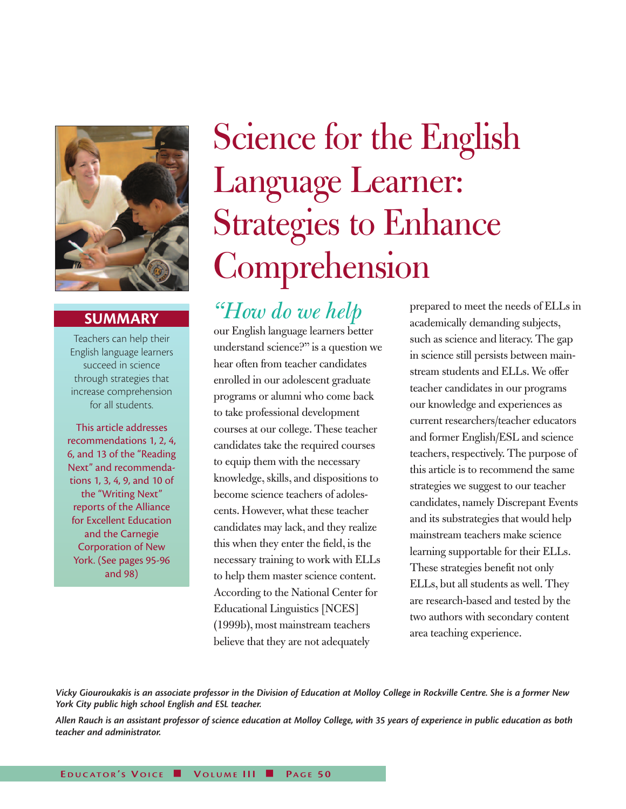

# **SUMMARY**

Teachers can help their English language learners succeed in science through strategies that increase comprehension for all students.

This article addresses recommendations 1, 2, 4, 6, and 13 of the "Reading Next" and recommendations 1, 3, 4, 9, and 10 of the "Writing Next" reports of the Alliance for Excellent Education and the Carnegie Corporation of New York. (See pages 95-96 and 98)

# Science for the English Language Learner: Strategies to Enhance Comprehension

*"How do we help*  our English language learners better understand science?" is a question we hear often from teacher candidates enrolled in our adolescent graduate programs or alumni who come back to take professional development courses at our college. These teacher candidates take the required courses to equip them with the necessary knowledge, skills, and dispositions to become science teachers of adolescents. However, what these teacher candidates may lack, and they realize this when they enter the field, is the necessary training to work with ELLs to help them master science content. According to the National Center for Educational Linguistics [NCES] (1999b), most mainstream teachers believe that they are not adequately

prepared to meet the needs of ELLs in academically demanding subjects, such as science and literacy. The gap in science still persists between mainstream students and ELLs. We offer teacher candidates in our programs our knowledge and experiences as current researchers/teacher educators and former English/ESL and science teachers, respectively. The purpose of this article is to recommend the same strategies we suggest to our teacher candidates, namely Discrepant Events and its substrategies that would help mainstream teachers make science learning supportable for their ELLs. These strategies benefit not only ELLs, but all students as well. They are research-based and tested by the two authors with secondary content area teaching experience.

Vicky Giouroukakis is an associate professor in the Division of Education at Molloy College in Rockville Centre. She is a former New *York City public high school English and ESL teacher.*

Allen Rauch is an assistant professor of science education at Molloy College, with 35 years of experience in public education as both *teacher and administrator.*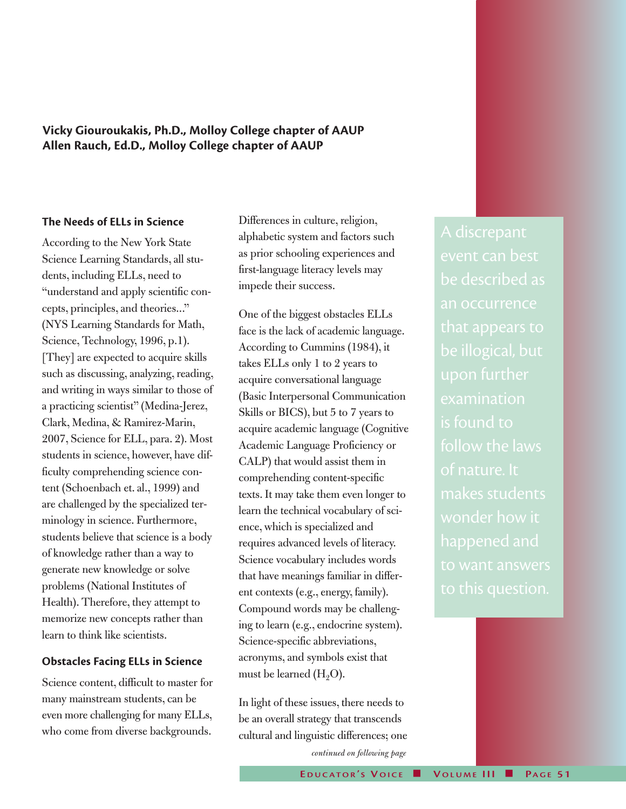**Vicky Giouroukakis, Ph.D., Molloy College chapter of AAUP Allen Rauch, Ed.D., Molloy College chapter of AAUP**

#### **The Needs of ELLs in Science**

According to the New York State Science Learning Standards, all students, including ELLs, need to "understand and apply scientific concepts, principles, and theories..." (NYS Learning Standards for Math, Science, Technology, 1996, p.1). [They] are expected to acquire skills such as discussing, analyzing, reading, and writing in ways similar to those of a practicing scientist" (Medina-Jerez, Clark, Medina, & Ramirez-Marin, 2007, Science for ELL, para. 2). Most students in science, however, have difficulty comprehending science content (Schoenbach et. al., 1999) and are challenged by the specialized terminology in science. Furthermore, students believe that science is a body of knowledge rather than a way to generate new knowledge or solve problems (National Institutes of Health). Therefore, they attempt to memorize new concepts rather than learn to think like scientists.

#### **Obstacles Facing ELLs in Science**

Science content, difficult to master for many mainstream students, can be even more challenging for many ELLs, who come from diverse backgrounds.

Differences in culture, religion, alphabetic system and factors such as prior schooling experiences and first-language literacy levels may impede their success.

One of the biggest obstacles ELLs face is the lack of academic language. According to Cummins (1984), it takes ELLs only 1 to 2 years to acquire conversational language (Basic Interpersonal Communication Skills or BICS), but 5 to 7 years to acquire academic language (Cognitive Academic Language Proficiency or CALP) that would assist them in comprehending content-specific texts. It may take them even longer to learn the technical vocabulary of science, which is specialized and requires advanced levels of literacy. Science vocabulary includes words that have meanings familiar in different contexts (e.g., energy, family). Compound words may be challenging to learn (e.g., endocrine system). Science-specific abbreviations, acronyms, and symbols exist that must be learned  $(H<sub>2</sub>O)$ .

In light of these issues, there needs to be an overall strategy that transcends cultural and linguistic differences; one *continued on following page*

event can best be described as an occurrence examination is found to follow the laws of nature. It makes students wonder how it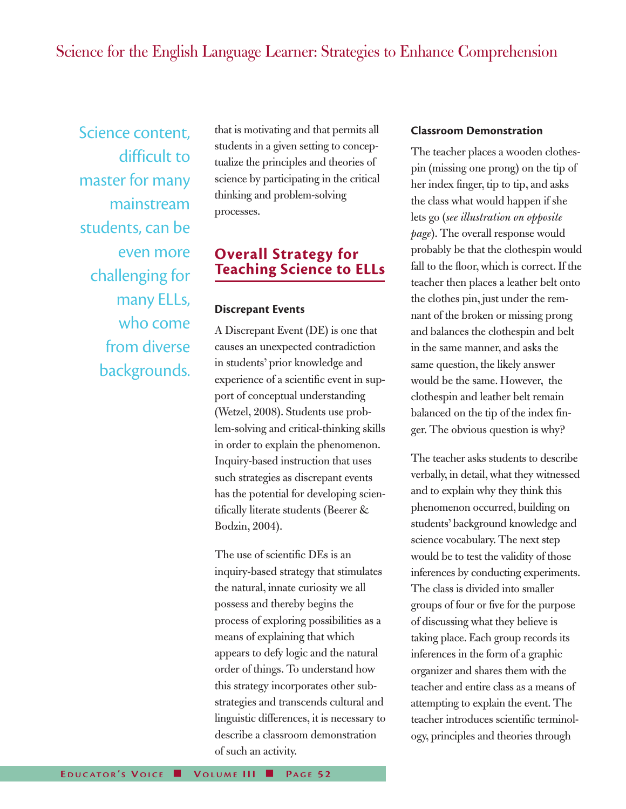# Science for the English Language Learner: Strategies to Enhance Comprehension

Science content, difficult to master for many mainstream students, can be even more challenging for many ELLs, who come from diverse backgrounds.

that is motivating and that permits all students in a given setting to conceptualize the principles and theories of science by participating in the critical thinking and problem-solving processes.

## **Overall Strategy for Teaching Science to ELLs**

#### **Discrepant Events**

A Discrepant Event (DE) is one that causes an unexpected contradiction in students' prior knowledge and experience of a scientific event in support of conceptual understanding (Wetzel, 2008). Students use problem-solving and critical-thinking skills in order to explain the phenomenon. Inquiry-based instruction that uses such strategies as discrepant events has the potential for developing scientifically literate students (Beerer & Bodzin, 2004).

The use of scientific DEs is an inquiry-based strategy that stimulates the natural, innate curiosity we all possess and thereby begins the process of exploring possibilities as a means of explaining that which appears to defy logic and the natural order of things. To understand how this strategy incorporates other substrategies and transcends cultural and linguistic differences, it is necessary to describe a classroom demonstration of such an activity.

#### **Classroom Demonstration**

The teacher places a wooden clothespin (missing one prong) on the tip of her index finger, tip to tip, and asks the class what would happen if she lets go (*see illustration on opposite page*). The overall response would probably be that the clothespin would fall to the floor, which is correct. If the teacher then places a leather belt onto the clothes pin, just under the remnant of the broken or missing prong and balances the clothespin and belt in the same manner, and asks the same question, the likely answer would be the same. However, the clothespin and leather belt remain balanced on the tip of the index finger. The obvious question is why?

The teacher asks students to describe verbally, in detail, what they witnessed and to explain why they think this phenomenon occurred, building on students' background knowledge and science vocabulary. The next step would be to test the validity of those inferences by conducting experiments. The class is divided into smaller groups of four or five for the purpose of discussing what they believe is taking place. Each group records its inferences in the form of a graphic organizer and shares them with the teacher and entire class as a means of attempting to explain the event. The teacher introduces scientific terminology, principles and theories through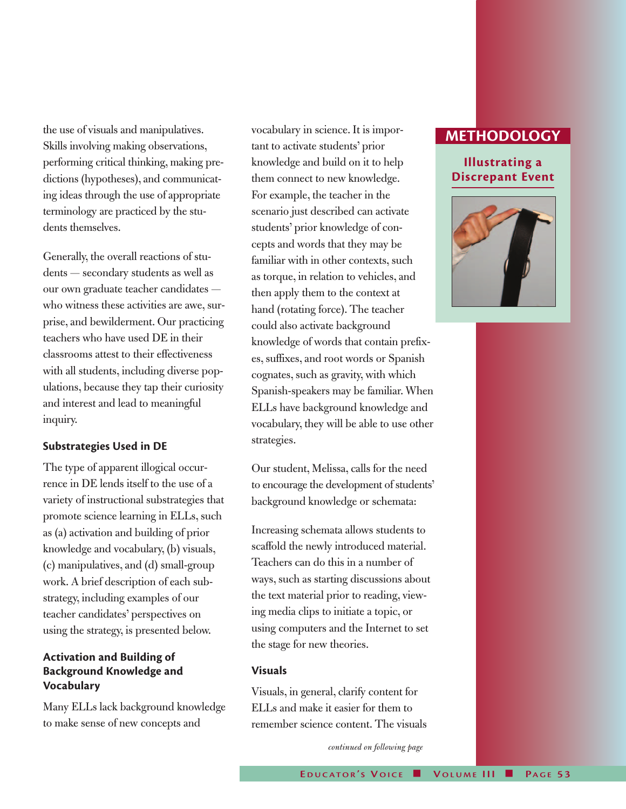the use of visuals and manipulatives. Skills involving making observations, performing critical thinking, making predictions (hypotheses), and communicating ideas through the use of appropriate terminology are practiced by the students themselves.

Generally, the overall reactions of students — secondary students as well as our own graduate teacher candidates who witness these activities are awe, surprise, and bewilderment. Our practicing teachers who have used DE in their classrooms attest to their effectiveness with all students, including diverse populations, because they tap their curiosity and interest and lead to meaningful inquiry.

#### **Substrategies Used in DE**

The type of apparent illogical occurrence in DE lends itself to the use of a variety of instructional substrategies that promote science learning in ELLs, such as (a) activation and building of prior knowledge and vocabulary, (b) visuals, (c) manipulatives, and (d) small-group work. A brief description of each substrategy, including examples of our teacher candidates' perspectives on using the strategy, is presented below.

### **Activation and Building of Background Knowledge and Vocabulary**

Many ELLs lack background knowledge to make sense of new concepts and

vocabulary in science. It is important to activate students' prior knowledge and build on it to help them connect to new knowledge. For example, the teacher in the scenario just described can activate students' prior knowledge of concepts and words that they may be familiar with in other contexts, such as torque, in relation to vehicles, and then apply them to the context at hand (rotating force). The teacher could also activate background knowledge of words that contain prefixes, suffixes, and root words or Spanish cognates, such as gravity, with which Spanish-speakers may be familiar. When ELLs have background knowledge and vocabulary, they will be able to use other strategies.

Our student, Melissa, calls for the need to encourage the development of students' background knowledge or schemata:

Increasing schemata allows students to scaffold the newly introduced material. Teachers can do this in a number of ways, such as starting discussions about the text material prior to reading, viewing media clips to initiate a topic, or using computers and the Internet to set the stage for new theories.

#### **Visuals**

Visuals, in general, clarify content for ELLs and make it easier for them to remember science content. The visuals

*continued on following page*

## **METHODOLOGY**

## **Illustrating a Discrepant Event**

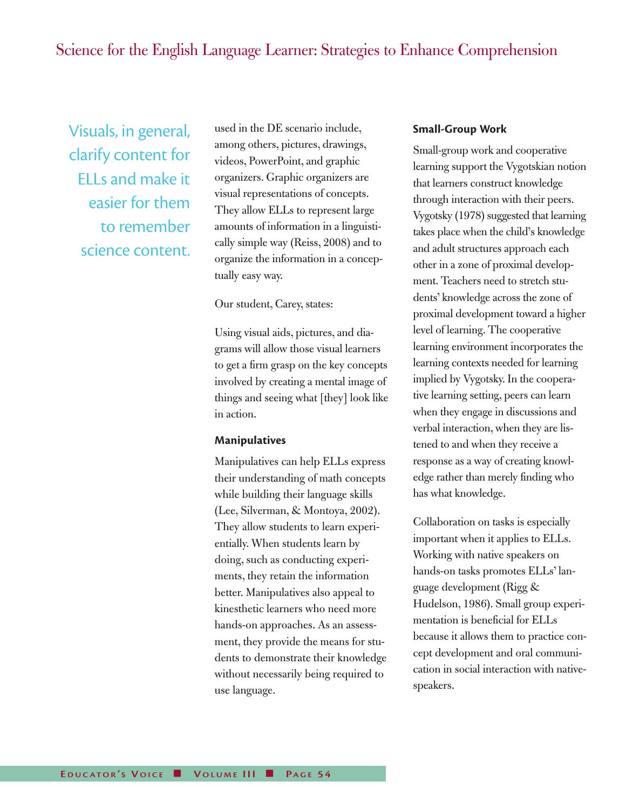# Science for the English Language Learner: Strategies to Enhance Comprehension

Visuals, in general, clarify content for ELLs and make it easier for them to remember science content. used in the DE scenario include, among others, pictures, drawings, videos, PowerPoint, and graphic organizers. Graphic organizers are visual representations of concepts. They allow ELLs to represent large amounts of information in a linguistically simple way (Reiss, 2008) and to organize the information in a conceptually easy way.

Our student, Carey, states:

Using visual aids, pictures, and diagrams will allow those visual learners to get a firm grasp on the key concepts involved by creating a mental image of things and seeing what [they] look like in action.

#### **Manipulatives**

Manipulatives can help ELLs express their understanding of math concepts while building their language skills (Lee, Silverman, & Montoya, 2002). They allow students to learn experientially. When students learn by doing, such as conducting experiments, they retain the information better. Manipulatives also appeal to kinesthetic learners who need more hands-on approaches. As an assessment, they provide the means for students to demonstrate their knowledge without necessarily being required to use language.

#### **Small-Group Work**

Small-group work and cooperative learning support the Vygotskian notion that learners construct knowledge through interaction with their peers. Vygotsky (1978) suggested that learning takes place when the child's knowledge and adult structures approach each other in a zone of proximal development. Teachers need to stretch students' knowledge across the zone of proximal development toward a higher level of learning. The cooperative learning environment incorporates the learning contexts needed for learning implied by Vygotsky. In the cooperative learning setting, peers can learn when they engage in discussions and verbal interaction, when they are listened to and when they receive a response as a way of creating knowledge rather than merely finding who has what knowledge.

Collaboration on tasks is especially important when it applies to ELLs. Working with native speakers on hands-on tasks promotes ELLs' language development (Rigg & Hudelson, 1986). Small group experimentation is beneficial for ELLs because it allows them to practice concept development and oral communication in social interaction with nativespeakers.